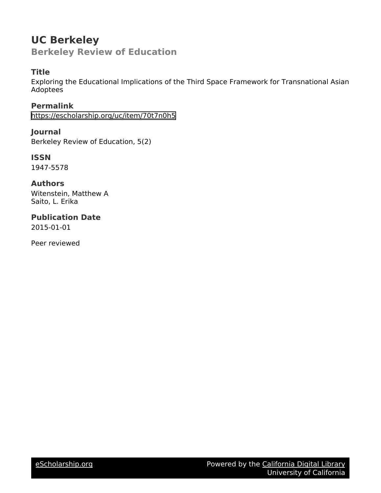# **UC Berkeley Berkeley Review of Education**

# **Title**

Exploring the Educational Implications of the Third Space Framework for Transnational Asian Adoptees

**Permalink** <https://escholarship.org/uc/item/70t7n0h5>

**Journal** Berkeley Review of Education, 5(2)

**ISSN** 1947-5578

**Authors** Witenstein, Matthew A Saito, L. Erika

**Publication Date** 2015-01-01

Peer reviewed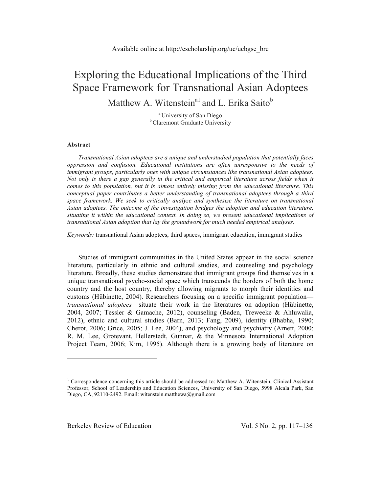# Exploring the Educational Implications of the Third Space Framework for Transnational Asian Adoptees Matthew A. Witenstein<sup>a1</sup> and L. Erika Saito<sup>b</sup>

<sup>a</sup> University of San Diego **b** Claremont Graduate University

#### **Abstract**

*Transnational Asian adoptees are a unique and understudied population that potentially faces oppression and confusion. Educational institutions are often unresponsive to the needs of immigrant groups, particularly ones with unique circumstances like transnational Asian adoptees. Not only is there a gap generally in the critical and empirical literature across fields when it comes to this population, but it is almost entirely missing from the educational literature. This conceptual paper contributes a better understanding of transnational adoptees through a third space framework. We seek to critically analyze and synthesize the literature on transnational Asian adoptees. The outcome of the investigation bridges the adoption and education literature, situating it within the educational context. In doing so, we present educational implications of transnational Asian adoption that lay the groundwork for much needed empirical analyses.*

*Keywords:* transnational Asian adoptees, third spaces, immigrant education, immigrant studies

Studies of immigrant communities in the United States appear in the social science literature, particularly in ethnic and cultural studies, and counseling and psychology literature. Broadly, these studies demonstrate that immigrant groups find themselves in a unique transnational psycho-social space which transcends the borders of both the home country and the host country, thereby allowing migrants to morph their identities and customs (Hübinette, 2004). Researchers focusing on a specific immigrant population *transnational adoptees*—situate their work in the literatures on adoption (Hübinette, 2004, 2007; Tessler & Gamache, 2012), counseling (Baden, Treweeke & Ahluwalia, 2012), ethnic and cultural studies (Barn, 2013; Fang, 2009), identity (Bhabha, 1990; Cherot, 2006; Grice, 2005; J. Lee, 2004), and psychology and psychiatry (Arnett, 2000; R. M. Lee, Grotevant, Hellerstedt, Gunnar, & the Minnesota International Adoption Project Team, 2006; Kim, 1995). Although there is a growing body of literature on

Berkeley Review of Education Vol. 5 No. 2, pp. 117–136

<u> 1989 - Johann Stein, markin film yn y breninn y breninn y breninn y breninn y breninn y breninn y breninn y b</u>

<sup>&</sup>lt;sup>1</sup> Correspondence concerning this article should be addressed to: Matthew A. Witenstein, Clinical Assistant Professor, School of Leadership and Education Sciences, University of San Diego, 5998 Alcala Park, San Diego, CA, 92110-2492. Email: witenstein.matthewa@gmail.com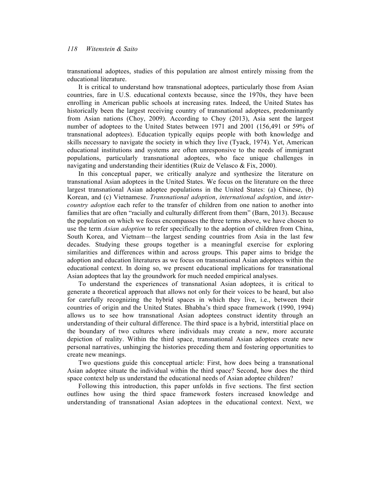transnational adoptees, studies of this population are almost entirely missing from the educational literature.

It is critical to understand how transnational adoptees, particularly those from Asian countries, fare in U.S. educational contexts because, since the 1970s, they have been enrolling in American public schools at increasing rates. Indeed, the United States has historically been the largest receiving country of transnational adoptees, predominantly from Asian nations (Choy, 2009). According to Choy (2013), Asia sent the largest number of adoptees to the United States between 1971 and 2001 (156,491 or 59% of transnational adoptees). Education typically equips people with both knowledge and skills necessary to navigate the society in which they live (Tyack, 1974). Yet, American educational institutions and systems are often unresponsive to the needs of immigrant populations, particularly transnational adoptees, who face unique challenges in navigating and understanding their identities (Ruiz de Velasco & Fix, 2000).

In this conceptual paper, we critically analyze and synthesize the literature on transnational Asian adoptees in the United States. We focus on the literature on the three largest transnational Asian adoptee populations in the United States: (a) Chinese, (b) Korean, and (c) Vietnamese. *Transnational adoption*, *international adoption*, and *intercountry adoption* each refer to the transfer of children from one nation to another into families that are often "racially and culturally different from them" (Barn, 2013). Because the population on which we focus encompasses the three terms above, we have chosen to use the term *Asian adoption* to refer specifically to the adoption of children from China, South Korea, and Vietnam—the largest sending countries from Asia in the last few decades. Studying these groups together is a meaningful exercise for exploring similarities and differences within and across groups. This paper aims to bridge the adoption and education literatures as we focus on transnational Asian adoptees within the educational context. In doing so, we present educational implications for transnational Asian adoptees that lay the groundwork for much needed empirical analyses.

To understand the experiences of transnational Asian adoptees, it is critical to generate a theoretical approach that allows not only for their voices to be heard, but also for carefully recognizing the hybrid spaces in which they live, i.e., between their countries of origin and the United States. Bhabha's third space framework (1990, 1994) allows us to see how transnational Asian adoptees construct identity through an understanding of their cultural difference. The third space is a hybrid, interstitial place on the boundary of two cultures where individuals may create a new, more accurate depiction of reality. Within the third space, transnational Asian adoptees create new personal narratives, unhinging the histories preceding them and fostering opportunities to create new meanings.

Two questions guide this conceptual article: First, how does being a transnational Asian adoptee situate the individual within the third space? Second, how does the third space context help us understand the educational needs of Asian adoptee children?

Following this introduction, this paper unfolds in five sections. The first section outlines how using the third space framework fosters increased knowledge and understanding of transnational Asian adoptees in the educational context. Next, we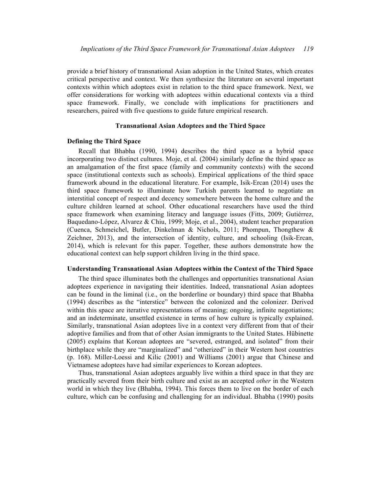provide a brief history of transnational Asian adoption in the United States, which creates critical perspective and context. We then synthesize the literature on several important contexts within which adoptees exist in relation to the third space framework. Next, we offer considerations for working with adoptees within educational contexts via a third space framework. Finally, we conclude with implications for practitioners and researchers, paired with five questions to guide future empirical research.

# **Transnational Asian Adoptees and the Third Space**

# **Defining the Third Space**

Recall that Bhabha (1990, 1994) describes the third space as a hybrid space incorporating two distinct cultures. Moje, et al. (2004) similarly define the third space as an amalgamation of the first space (family and community contexts) with the second space (institutional contexts such as schools). Empirical applications of the third space framework abound in the educational literature. For example, Isik-Ercan (2014) uses the third space framework to illuminate how Turkish parents learned to negotiate an interstitial concept of respect and decency somewhere between the home culture and the culture children learned at school. Other educational researchers have used the third space framework when examining literacy and language issues (Fitts, 2009; Gutiérrez, Baquedano-López, Alvarez & Chiu, 1999; Moje, et al., 2004), student teacher preparation (Cuenca, Schmeichel, Butler, Dinkelman & Nichols, 2011; Phompun, Thongthew & Zeichner, 2013), and the intersection of identity, culture, and schooling (Isik-Ercan, 2014), which is relevant for this paper. Together, these authors demonstrate how the educational context can help support children living in the third space.

#### **Understanding Transnational Asian Adoptees within the Context of the Third Space**

The third space illuminates both the challenges and opportunities transnational Asian adoptees experience in navigating their identities. Indeed, transnational Asian adoptees can be found in the liminal (i.e., on the borderline or boundary) third space that Bhabha (1994) describes as the "interstice" between the colonized and the colonizer. Derived within this space are iterative representations of meaning; ongoing, infinite negotiations; and an indeterminate, unsettled existence in terms of how culture is typically explained. Similarly, transnational Asian adoptees live in a context very different from that of their adoptive families and from that of other Asian immigrants to the United States. Hübinette (2005) explains that Korean adoptees are "severed, estranged, and isolated" from their birthplace while they are "marginalized" and "otherized" in their Western host countries (p. 168). Miller-Loessi and Kilic (2001) and Williams (2001) argue that Chinese and Vietnamese adoptees have had similar experiences to Korean adoptees.

Thus, transnational Asian adoptees arguably live within a third space in that they are practically severed from their birth culture and exist as an accepted *other* in the Western world in which they live (Bhabha, 1994). This forces them to live on the border of each culture, which can be confusing and challenging for an individual. Bhabha (1990) posits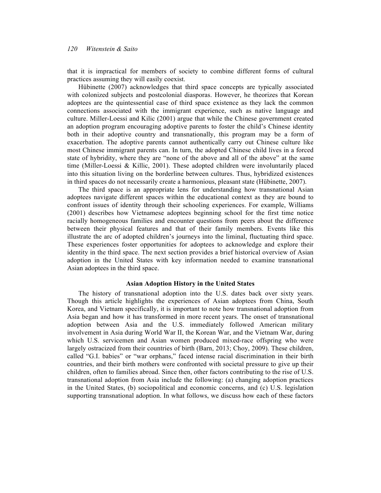that it is impractical for members of society to combine different forms of cultural practices assuming they will easily coexist.

Hübinette (2007) acknowledges that third space concepts are typically associated with colonized subjects and postcolonial diasporas. However, he theorizes that Korean adoptees are the quintessential case of third space existence as they lack the common connections associated with the immigrant experience, such as native language and culture. Miller-Loessi and Kilic (2001) argue that while the Chinese government created an adoption program encouraging adoptive parents to foster the child's Chinese identity both in their adoptive country and transnationally, this program may be a form of exacerbation. The adoptive parents cannot authentically carry out Chinese culture like most Chinese immigrant parents can. In turn, the adopted Chinese child lives in a forced state of hybridity, where they are "none of the above and all of the above" at the same time (Miller-Loessi & Killic, 2001). These adopted children were involuntarily placed into this situation living on the borderline between cultures. Thus, hybridized existences in third spaces do not necessarily create a harmonious, pleasant state (Hübinette, 2007).

The third space is an appropriate lens for understanding how transnational Asian adoptees navigate different spaces within the educational context as they are bound to confront issues of identity through their schooling experiences. For example, Williams (2001) describes how Vietnamese adoptees beginning school for the first time notice racially homogeneous families and encounter questions from peers about the difference between their physical features and that of their family members. Events like this illustrate the arc of adopted children's journeys into the liminal, fluctuating third space. These experiences foster opportunities for adoptees to acknowledge and explore their identity in the third space. The next section provides a brief historical overview of Asian adoption in the United States with key information needed to examine transnational Asian adoptees in the third space.

#### **Asian Adoption History in the United States**

The history of transnational adoption into the U.S. dates back over sixty years. Though this article highlights the experiences of Asian adoptees from China, South Korea, and Vietnam specifically, it is important to note how transnational adoption from Asia began and how it has transformed in more recent years. The onset of transnational adoption between Asia and the U.S. immediately followed American military involvement in Asia during World War II, the Korean War, and the Vietnam War, during which U.S. servicemen and Asian women produced mixed-race offspring who were largely ostracized from their countries of birth (Barn, 2013; Choy, 2009). These children, called "G.I. babies" or "war orphans," faced intense racial discrimination in their birth countries, and their birth mothers were confronted with societal pressure to give up their children, often to families abroad. Since then, other factors contributing to the rise of U.S. transnational adoption from Asia include the following: (a) changing adoption practices in the United States, (b) sociopolitical and economic concerns, and (c) U.S. legislation supporting transnational adoption. In what follows, we discuss how each of these factors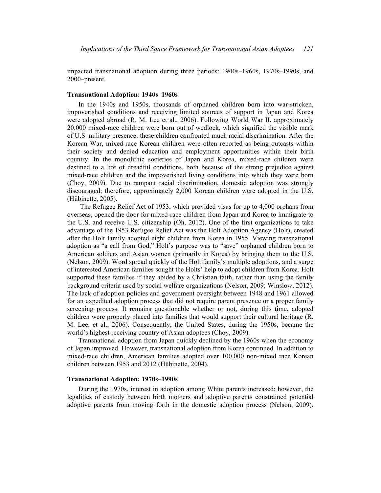impacted transnational adoption during three periods: 1940s–1960s, 1970s–1990s, and 2000–present.

## **Transnational Adoption: 1940s–1960s**

In the 1940s and 1950s, thousands of orphaned children born into war-stricken, impoverished conditions and receiving limited sources of support in Japan and Korea were adopted abroad (R. M. Lee et al., 2006). Following World War II, approximately 20,000 mixed-race children were born out of wedlock, which signified the visible mark of U.S. military presence; these children confronted much racial discrimination. After the Korean War, mixed-race Korean children were often reported as being outcasts within their society and denied education and employment opportunities within their birth country. In the monolithic societies of Japan and Korea, mixed-race children were destined to a life of dreadful conditions, both because of the strong prejudice against mixed-race children and the impoverished living conditions into which they were born (Choy, 2009). Due to rampant racial discrimination, domestic adoption was strongly discouraged; therefore, approximately 2,000 Korean children were adopted in the U.S. (Hübinette, 2005).

The Refugee Relief Act of 1953, which provided visas for up to 4,000 orphans from overseas, opened the door for mixed-race children from Japan and Korea to immigrate to the U.S. and receive U.S. citizenship (Oh, 2012). One of the first organizations to take advantage of the 1953 Refugee Relief Act was the Holt Adoption Agency (Holt), created after the Holt family adopted eight children from Korea in 1955. Viewing transnational adoption as "a call from God," Holt's purpose was to "save" orphaned children born to American soldiers and Asian women (primarily in Korea) by bringing them to the U.S. (Nelson, 2009). Word spread quickly of the Holt family's multiple adoptions, and a surge of interested American families sought the Holts' help to adopt children from Korea. Holt supported these families if they abided by a Christian faith, rather than using the family background criteria used by social welfare organizations (Nelson, 2009; Winslow, 2012). The lack of adoption policies and government oversight between 1948 and 1961 allowed for an expedited adoption process that did not require parent presence or a proper family screening process. It remains questionable whether or not, during this time, adopted children were properly placed into families that would support their cultural heritage (R. M. Lee, et al., 2006). Consequently, the United States, during the 1950s, became the world's highest receiving country of Asian adoptees (Choy, 2009).

Transnational adoption from Japan quickly declined by the 1960s when the economy of Japan improved. However, transnational adoption from Korea continued. In addition to mixed-race children, American families adopted over 100,000 non-mixed race Korean children between 1953 and 2012 (Hübinette, 2004).

#### **Transnational Adoption: 1970s–1990s**

During the 1970s, interest in adoption among White parents increased; however, the legalities of custody between birth mothers and adoptive parents constrained potential adoptive parents from moving forth in the domestic adoption process (Nelson, 2009).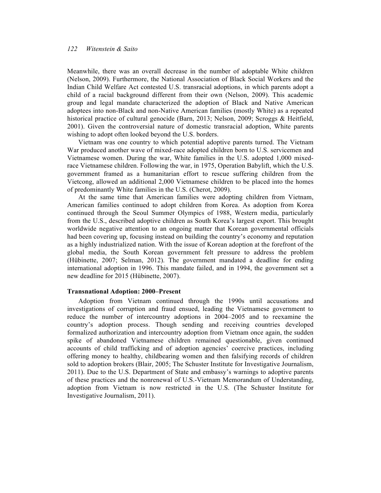Meanwhile, there was an overall decrease in the number of adoptable White children (Nelson, 2009). Furthermore, the National Association of Black Social Workers and the Indian Child Welfare Act contested U.S. transracial adoptions, in which parents adopt a child of a racial background different from their own (Nelson, 2009). This academic group and legal mandate characterized the adoption of Black and Native American adoptees into non-Black and non-Native American families (mostly White) as a repeated historical practice of cultural genocide (Barn, 2013; Nelson, 2009; Scroggs & Heitfield, 2001). Given the controversial nature of domestic transracial adoption, White parents wishing to adopt often looked beyond the U.S. borders.

Vietnam was one country to which potential adoptive parents turned. The Vietnam War produced another wave of mixed-race adopted children born to U.S. servicemen and Vietnamese women. During the war, White families in the U.S. adopted 1,000 mixedrace Vietnamese children. Following the war, in 1975, Operation Babylift, which the U.S. government framed as a humanitarian effort to rescue suffering children from the Vietcong, allowed an additional 2,000 Vietnamese children to be placed into the homes of predominantly White families in the U.S. (Cherot, 2009).

At the same time that American families were adopting children from Vietnam, American families continued to adopt children from Korea. As adoption from Korea continued through the Seoul Summer Olympics of 1988, Western media, particularly from the U.S., described adoptive children as South Korea's largest export. This brought worldwide negative attention to an ongoing matter that Korean governmental officials had been covering up, focusing instead on building the country's economy and reputation as a highly industrialized nation. With the issue of Korean adoption at the forefront of the global media, the South Korean government felt pressure to address the problem (Hübinette, 2007; Selman, 2012). The government mandated a deadline for ending international adoption in 1996. This mandate failed, and in 1994, the government set a new deadline for 2015 (Hübinette, 2007).

#### **Transnational Adoption: 2000–Present**

Adoption from Vietnam continued through the 1990s until accusations and investigations of corruption and fraud ensued, leading the Vietnamese government to reduce the number of intercountry adoptions in 2004–2005 and to reexamine the country's adoption process. Though sending and receiving countries developed formalized authorization and intercountry adoption from Vietnam once again, the sudden spike of abandoned Vietnamese children remained questionable, given continued accounts of child trafficking and of adoption agencies' coercive practices, including offering money to healthy, childbearing women and then falsifying records of children sold to adoption brokers (Blair, 2005; The Schuster Institute for Investigative Journalism, 2011). Due to the U.S. Department of State and embassy's warnings to adoptive parents of these practices and the nonrenewal of U.S.-Vietnam Memorandum of Understanding, adoption from Vietnam is now restricted in the U.S. (The Schuster Institute for Investigative Journalism, 2011).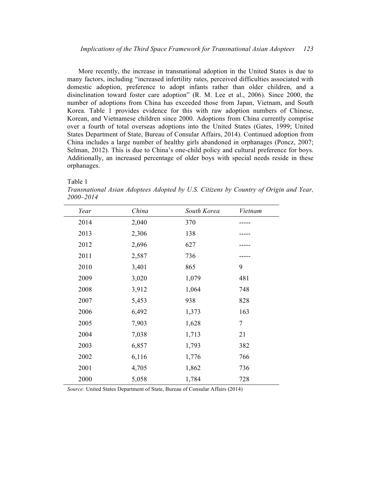More recently, the increase in transnational adoption in the United States is due to many factors, including "increased infertility rates, perceived difficulties associated with domestic adoption, preference to adopt infants rather than older children, and a disinclination toward foster care adoption" (R. M. Lee et al., 2006). Since 2000, the number of adoptions from China has exceeded those from Japan, Vietnam, and South Korea. Table 1 provides evidence for this with raw adoption numbers of Chinese, Korean, and Vietnamese children since 2000. Adoptions from China currently comprise over a fourth of total overseas adoptions into the United States (Gates, 1999; United States Department of State, Bureau of Consular Affairs, 2014). Continued adoption from China includes a large number of healthy girls abandoned in orphanages (Poncz, 2007; Selman, 2012). This is due to China's one-child policy and cultural preference for boys. Additionally, an increased percentage of older boys with special needs reside in these orphanages.

| 2000–2014 |       |             |         |  |
|-----------|-------|-------------|---------|--|
| Year      | China | South Korea | Vietnam |  |
| 2014      | 2,040 | 370         |         |  |
| 2013      | 2,306 | 138         |         |  |
| 2012      | 2,696 | 627         |         |  |
| 2011      | 2,587 | 736         |         |  |
| 2010      | 3,401 | 865         | 9       |  |
| 2009      | 3,020 | 1,079       | 481     |  |
| 2008      | 3,912 | 1,064       | 748     |  |
| 2007      | 5,453 | 938         | 828     |  |
| 2006      | 6,492 | 1,373       | 163     |  |
| 2005      | 7,903 | 1,628       | 7       |  |
| 2004      | 7,038 | 1,713       | 21      |  |
| 2003      | 6,857 | 1,793       | 382     |  |
| 2002      | 6,116 | 1,776       | 766     |  |
| 2001      | 4,705 | 1,862       | 736     |  |
| 2000      | 5,058 | 1,784       | 728     |  |

Table 1 *Transnational Asian Adoptees Adopted by U.S. Citizens by Country of Origin and Year, 2000–2014*

*Source:* United States Department of State, Bureau of Consular Affairs (2014)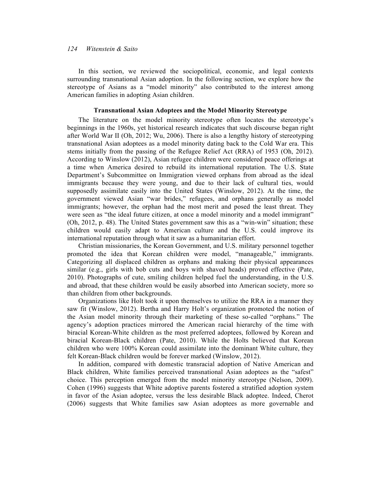In this section, we reviewed the sociopolitical, economic, and legal contexts surrounding transnational Asian adoption. In the following section, we explore how the stereotype of Asians as a "model minority" also contributed to the interest among American families in adopting Asian children.

#### **Transnational Asian Adoptees and the Model Minority Stereotype**

The literature on the model minority stereotype often locates the stereotype's beginnings in the 1960s, yet historical research indicates that such discourse began right after World War II (Oh, 2012; Wu, 2006). There is also a lengthy history of stereotyping transnational Asian adoptees as a model minority dating back to the Cold War era. This stems initially from the passing of the Refugee Relief Act (RRA) of 1953 (Oh, 2012). According to Winslow (2012), Asian refugee children were considered peace offerings at a time when America desired to rebuild its international reputation. The U.S. State Department's Subcommittee on Immigration viewed orphans from abroad as the ideal immigrants because they were young, and due to their lack of cultural ties, would supposedly assimilate easily into the United States (Winslow, 2012). At the time, the government viewed Asian "war brides," refugees, and orphans generally as model immigrants; however, the orphan had the most merit and posed the least threat. They were seen as "the ideal future citizen, at once a model minority and a model immigrant" (Oh, 2012, p. 48). The United States government saw this as a "win-win" situation; these children would easily adapt to American culture and the U.S. could improve its international reputation through what it saw as a humanitarian effort.

Christian missionaries, the Korean Government, and U.S. military personnel together promoted the idea that Korean children were model, "manageable," immigrants. Categorizing all displaced children as orphans and making their physical appearances similar (e.g., girls with bob cuts and boys with shaved heads) proved effective (Pate, 2010). Photographs of cute, smiling children helped fuel the understanding, in the U.S. and abroad, that these children would be easily absorbed into American society, more so than children from other backgrounds.

Organizations like Holt took it upon themselves to utilize the RRA in a manner they saw fit (Winslow, 2012). Bertha and Harry Holt's organization promoted the notion of the Asian model minority through their marketing of these so-called "orphans." The agency's adoption practices mirrored the American racial hierarchy of the time with biracial Korean-White children as the most preferred adoptees, followed by Korean and biracial Korean-Black children (Pate, 2010). While the Holts believed that Korean children who were 100% Korean could assimilate into the dominant White culture, they felt Korean-Black children would be forever marked (Winslow, 2012).

In addition, compared with domestic transracial adoption of Native American and Black children, White families perceived transnational Asian adoptees as the "safest" choice. This perception emerged from the model minority stereotype (Nelson, 2009). Cohen (1996) suggests that White adoptive parents fostered a stratified adoption system in favor of the Asian adoptee, versus the less desirable Black adoptee. Indeed, Cherot (2006) suggests that White families saw Asian adoptees as more governable and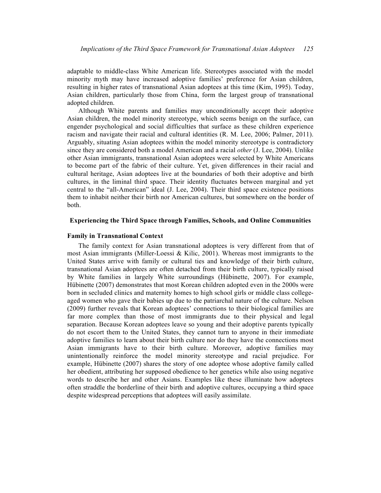adaptable to middle-class White American life. Stereotypes associated with the model minority myth may have increased adoptive families' preference for Asian children, resulting in higher rates of transnational Asian adoptees at this time (Kim, 1995). Today, Asian children, particularly those from China, form the largest group of transnational adopted children.

Although White parents and families may unconditionally accept their adoptive Asian children, the model minority stereotype, which seems benign on the surface, can engender psychological and social difficulties that surface as these children experience racism and navigate their racial and cultural identities (R. M. Lee, 2006; Palmer, 2011). Arguably, situating Asian adoptees within the model minority stereotype is contradictory since they are considered both a model American and a racial *other* (J. Lee, 2004). Unlike other Asian immigrants, transnational Asian adoptees were selected by White Americans to become part of the fabric of their culture. Yet, given differences in their racial and cultural heritage, Asian adoptees live at the boundaries of both their adoptive and birth cultures, in the liminal third space. Their identity fluctuates between marginal and yet central to the "all-American" ideal (J. Lee, 2004). Their third space existence positions them to inhabit neither their birth nor American cultures, but somewhere on the border of both.

#### **Experiencing the Third Space through Families, Schools, and Online Communities**

# **Family in Transnational Context**

The family context for Asian transnational adoptees is very different from that of most Asian immigrants (Miller-Loessi  $\&$  Kilic, 2001). Whereas most immigrants to the United States arrive with family or cultural ties and knowledge of their birth culture, transnational Asian adoptees are often detached from their birth culture, typically raised by White families in largely White surroundings (Hübinette, 2007). For example, Hübinette (2007) demonstrates that most Korean children adopted even in the 2000s were born in secluded clinics and maternity homes to high school girls or middle class collegeaged women who gave their babies up due to the patriarchal nature of the culture. Nelson (2009) further reveals that Korean adoptees' connections to their biological families are far more complex than those of most immigrants due to their physical and legal separation. Because Korean adoptees leave so young and their adoptive parents typically do not escort them to the United States, they cannot turn to anyone in their immediate adoptive families to learn about their birth culture nor do they have the connections most Asian immigrants have to their birth culture. Moreover, adoptive families may unintentionally reinforce the model minority stereotype and racial prejudice. For example, Hübinette (2007) shares the story of one adoptee whose adoptive family called her obedient, attributing her supposed obedience to her genetics while also using negative words to describe her and other Asians. Examples like these illuminate how adoptees often straddle the borderline of their birth and adoptive cultures, occupying a third space despite widespread perceptions that adoptees will easily assimilate.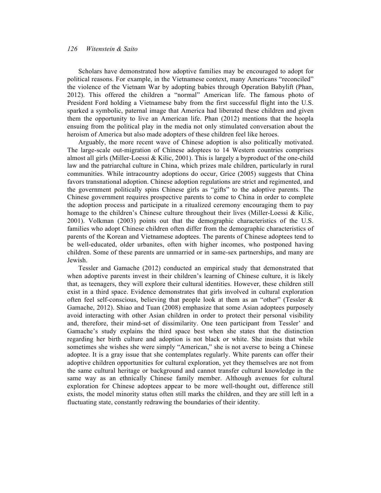Scholars have demonstrated how adoptive families may be encouraged to adopt for political reasons. For example, in the Vietnamese context, many Americans "reconciled" the violence of the Vietnam War by adopting babies through Operation Babylift (Phan, 2012). This offered the children a "normal" American life. The famous photo of President Ford holding a Vietnamese baby from the first successful flight into the U.S. sparked a symbolic, paternal image that America had liberated these children and given them the opportunity to live an American life. Phan (2012) mentions that the hoopla ensuing from the political play in the media not only stimulated conversation about the heroism of America but also made adopters of these children feel like heroes.

Arguably, the more recent wave of Chinese adoption is also politically motivated. The large-scale out-migration of Chinese adoptees to 14 Western countries comprises almost all girls (Miller-Loessi & Kilic, 2001). This is largely a byproduct of the one-child law and the patriarchal culture in China, which prizes male children, particularly in rural communities. While intracountry adoptions do occur, Grice (2005) suggests that China favors transnational adoption. Chinese adoption regulations are strict and regimented, and the government politically spins Chinese girls as "gifts" to the adoptive parents. The Chinese government requires prospective parents to come to China in order to complete the adoption process and participate in a ritualized ceremony encouraging them to pay homage to the children's Chinese culture throughout their lives (Miller-Loessi & Kilic, 2001). Volkman (2003) points out that the demographic characteristics of the U.S. families who adopt Chinese children often differ from the demographic characteristics of parents of the Korean and Vietnamese adoptees. The parents of Chinese adoptees tend to be well-educated, older urbanites, often with higher incomes, who postponed having children. Some of these parents are unmarried or in same-sex partnerships, and many are Jewish.

Tessler and Gamache (2012) conducted an empirical study that demonstrated that when adoptive parents invest in their children's learning of Chinese culture, it is likely that, as teenagers, they will explore their cultural identities. However, these children still exist in a third space. Evidence demonstrates that girls involved in cultural exploration often feel self-conscious, believing that people look at them as an "other" (Tessler  $\&$ Gamache, 2012). Shiao and Tuan (2008) emphasize that some Asian adoptees purposely avoid interacting with other Asian children in order to protect their personal visibility and, therefore, their mind-set of dissimilarity. One teen participant from Tessler' and Gamache's study explains the third space best when she states that the distinction regarding her birth culture and adoption is not black or white. She insists that while sometimes she wishes she were simply "American," she is not averse to being a Chinese adoptee. It is a gray issue that she contemplates regularly. White parents can offer their adoptive children opportunities for cultural exploration, yet they themselves are not from the same cultural heritage or background and cannot transfer cultural knowledge in the same way as an ethnically Chinese family member. Although avenues for cultural exploration for Chinese adoptees appear to be more well-thought out, difference still exists, the model minority status often still marks the children, and they are still left in a fluctuating state, constantly redrawing the boundaries of their identity.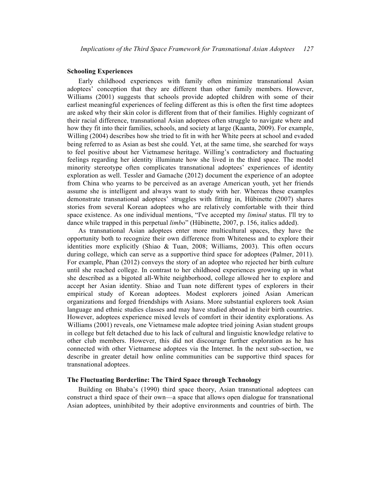#### **Schooling Experiences**

Early childhood experiences with family often minimize transnational Asian adoptees' conception that they are different than other family members. However, Williams (2001) suggests that schools provide adopted children with some of their earliest meaningful experiences of feeling different as this is often the first time adoptees are asked why their skin color is different from that of their families. Highly cognizant of their racial difference, transnational Asian adoptees often struggle to navigate where and how they fit into their families, schools, and society at large (Kaanta, 2009). For example, Willing (2004) describes how she tried to fit in with her White peers at school and evaded being referred to as Asian as best she could. Yet, at the same time, she searched for ways to feel positive about her Vietnamese heritage. Willing's contradictory and fluctuating feelings regarding her identity illuminate how she lived in the third space. The model minority stereotype often complicates transnational adoptees' experiences of identity exploration as well. Tessler and Gamache (2012) document the experience of an adoptee from China who yearns to be perceived as an average American youth, yet her friends assume she is intelligent and always want to study with her. Whereas these examples demonstrate transnational adoptees' struggles with fitting in, Hübinette (2007) shares stories from several Korean adoptees who are relatively comfortable with their third space existence. As one individual mentions, "I've accepted my *liminal* status. I'll try to dance while trapped in this perpetual *limbo*" (Hübinette, 2007, p. 156, italics added).

As transnational Asian adoptees enter more multicultural spaces, they have the opportunity both to recognize their own difference from Whiteness and to explore their identities more explicitly (Shiao & Tuan, 2008; Williams, 2003). This often occurs during college, which can serve as a supportive third space for adoptees (Palmer, 2011). For example, Phan (2012) conveys the story of an adoptee who rejected her birth culture until she reached college. In contrast to her childhood experiences growing up in what she described as a bigoted all-White neighborhood, college allowed her to explore and accept her Asian identity. Shiao and Tuan note different types of explorers in their empirical study of Korean adoptees. Modest explorers joined Asian American organizations and forged friendships with Asians. More substantial explorers took Asian language and ethnic studies classes and may have studied abroad in their birth countries. However, adoptees experience mixed levels of comfort in their identity explorations. As Williams (2001) reveals, one Vietnamese male adoptee tried joining Asian student groups in college but felt detached due to his lack of cultural and linguistic knowledge relative to other club members. However, this did not discourage further exploration as he has connected with other Vietnamese adoptees via the Internet. In the next sub-section, we describe in greater detail how online communities can be supportive third spaces for transnational adoptees.

### **The Fluctuating Borderline: The Third Space through Technology**

Building on Bhaba's (1990) third space theory, Asian transnational adoptees can construct a third space of their own—a space that allows open dialogue for transnational Asian adoptees, uninhibited by their adoptive environments and countries of birth. The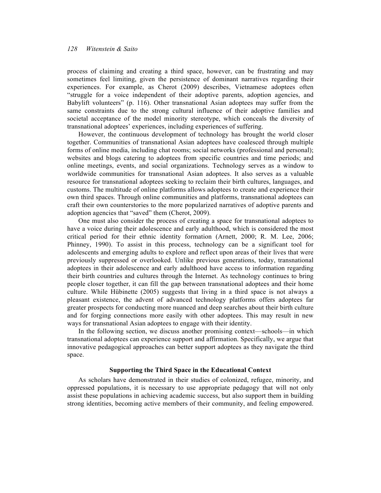process of claiming and creating a third space, however, can be frustrating and may sometimes feel limiting, given the persistence of dominant narratives regarding their experiences. For example, as Cherot (2009) describes, Vietnamese adoptees often "struggle for a voice independent of their adoptive parents, adoption agencies, and Babylift volunteers" (p. 116). Other transnational Asian adoptees may suffer from the same constraints due to the strong cultural influence of their adoptive families and societal acceptance of the model minority stereotype, which conceals the diversity of transnational adoptees' experiences, including experiences of suffering.

However, the continuous development of technology has brought the world closer together. Communities of transnational Asian adoptees have coalesced through multiple forms of online media, including chat rooms; social networks (professional and personal); websites and blogs catering to adoptees from specific countries and time periods; and online meetings, events, and social organizations. Technology serves as a window to worldwide communities for transnational Asian adoptees. It also serves as a valuable resource for transnational adoptees seeking to reclaim their birth cultures, languages, and customs. The multitude of online platforms allows adoptees to create and experience their own third spaces. Through online communities and platforms, transnational adoptees can craft their own counterstories to the more popularized narratives of adoptive parents and adoption agencies that "saved" them (Cherot, 2009).

One must also consider the process of creating a space for transnational adoptees to have a voice during their adolescence and early adulthood, which is considered the most critical period for their ethnic identity formation (Arnett, 2000; R. M. Lee, 2006; Phinney, 1990). To assist in this process, technology can be a significant tool for adolescents and emerging adults to explore and reflect upon areas of their lives that were previously suppressed or overlooked. Unlike previous generations, today, transnational adoptees in their adolescence and early adulthood have access to information regarding their birth countries and cultures through the Internet. As technology continues to bring people closer together, it can fill the gap between transnational adoptees and their home culture. While Hübinette (2005) suggests that living in a third space is not always a pleasant existence, the advent of advanced technology platforms offers adoptees far greater prospects for conducting more nuanced and deep searches about their birth culture and for forging connections more easily with other adoptees. This may result in new ways for transnational Asian adoptees to engage with their identity.

In the following section, we discuss another promising context—schools—in which transnational adoptees can experience support and affirmation. Specifically, we argue that innovative pedagogical approaches can better support adoptees as they navigate the third space.

# **Supporting the Third Space in the Educational Context**

As scholars have demonstrated in their studies of colonized, refugee, minority, and oppressed populations, it is necessary to use appropriate pedagogy that will not only assist these populations in achieving academic success, but also support them in building strong identities, becoming active members of their community, and feeling empowered.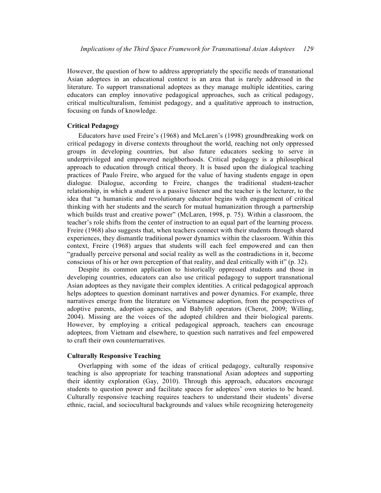However, the question of how to address appropriately the specific needs of transnational Asian adoptees in an educational context is an area that is rarely addressed in the literature. To support transnational adoptees as they manage multiple identities, caring educators can employ innovative pedagogical approaches, such as critical pedagogy, critical multiculturalism, feminist pedagogy, and a qualitative approach to instruction, focusing on funds of knowledge.

# **Critical Pedagogy**

Educators have used Freire's (1968) and McLaren's (1998) groundbreaking work on critical pedagogy in diverse contexts throughout the world, reaching not only oppressed groups in developing countries, but also future educators seeking to serve in underprivileged and empowered neighborhoods. Critical pedagogy is a philosophical approach to education through critical theory. It is based upon the dialogical teaching practices of Paulo Freire, who argued for the value of having students engage in open dialogue. Dialogue, according to Freire, changes the traditional student-teacher relationship, in which a student is a passive listener and the teacher is the lecturer, to the idea that "a humanistic and revolutionary educator begins with engagement of critical thinking with her students and the search for mutual humanization through a partnership which builds trust and creative power" (McLaren, 1998, p. 75). Within a classroom, the teacher's role shifts from the center of instruction to an equal part of the learning process. Freire (1968) also suggests that, when teachers connect with their students through shared experiences, they dismantle traditional power dynamics within the classroom. Within this context, Freire (1968) argues that students will each feel empowered and can then "gradually perceive personal and social reality as well as the contradictions in it, become conscious of his or her own perception of that reality, and deal critically with it" (p. 32).

Despite its common application to historically oppressed students and those in developing countries, educators can also use critical pedagogy to support transnational Asian adoptees as they navigate their complex identities. A critical pedagogical approach helps adoptees to question dominant narratives and power dynamics. For example, three narratives emerge from the literature on Vietnamese adoption, from the perspectives of adoptive parents, adoption agencies, and Babylift operators (Cherot, 2009; Willing, 2004). Missing are the voices of the adopted children and their biological parents. However, by employing a critical pedagogical approach, teachers can encourage adoptees, from Vietnam and elsewhere, to question such narratives and feel empowered to craft their own counternarratives.

# **Culturally Responsive Teaching**

Overlapping with some of the ideas of critical pedagogy, culturally responsive teaching is also appropriate for teaching transnational Asian adoptees and supporting their identity exploration (Gay, 2010). Through this approach, educators encourage students to question power and facilitate spaces for adoptees' own stories to be heard. Culturally responsive teaching requires teachers to understand their students' diverse ethnic, racial, and sociocultural backgrounds and values while recognizing heterogeneity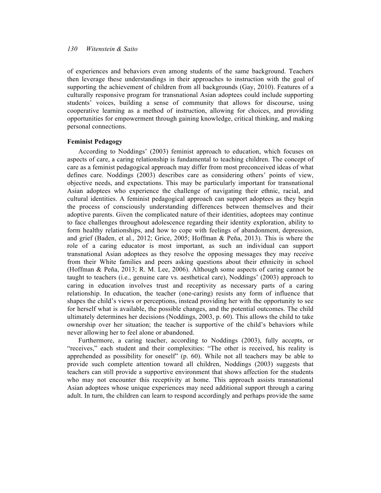of experiences and behaviors even among students of the same background. Teachers then leverage these understandings in their approaches to instruction with the goal of supporting the achievement of children from all backgrounds (Gay, 2010). Features of a culturally responsive program for transnational Asian adoptees could include supporting students' voices, building a sense of community that allows for discourse, using cooperative learning as a method of instruction, allowing for choices, and providing opportunities for empowerment through gaining knowledge, critical thinking, and making personal connections.

# **Feminist Pedagogy**

According to Noddings' (2003) feminist approach to education, which focuses on aspects of care, a caring relationship is fundamental to teaching children. The concept of care as a feminist pedagogical approach may differ from most preconceived ideas of what defines care. Noddings (2003) describes care as considering others' points of view, objective needs, and expectations. This may be particularly important for transnational Asian adoptees who experience the challenge of navigating their ethnic, racial, and cultural identities. A feminist pedagogical approach can support adoptees as they begin the process of consciously understanding differences between themselves and their adoptive parents. Given the complicated nature of their identities, adoptees may continue to face challenges throughout adolescence regarding their identity exploration, ability to form healthy relationships, and how to cope with feelings of abandonment, depression, and grief (Baden, et al., 2012; Grice, 2005; Hoffman & Peña, 2013). This is where the role of a caring educator is most important, as such an individual can support transnational Asian adoptees as they resolve the opposing messages they may receive from their White families and peers asking questions about their ethnicity in school (Hoffman & Peña, 2013; R. M. Lee, 2006). Although some aspects of caring cannot be taught to teachers (i.e., genuine care vs. aesthetical care), Noddings' (2003) approach to caring in education involves trust and receptivity as necessary parts of a caring relationship. In education, the teacher (one-caring) resists any form of influence that shapes the child's views or perceptions, instead providing her with the opportunity to see for herself what is available, the possible changes, and the potential outcomes. The child ultimately determines her decisions (Noddings, 2003, p. 60). This allows the child to take ownership over her situation; the teacher is supportive of the child's behaviors while never allowing her to feel alone or abandoned.

Furthermore, a caring teacher, according to Noddings (2003), fully accepts, or "receives," each student and their complexities: "The other is received, his reality is apprehended as possibility for oneself" (p. 60). While not all teachers may be able to provide such complete attention toward all children, Noddings (2003) suggests that teachers can still provide a supportive environment that shows affection for the students who may not encounter this receptivity at home. This approach assists transnational Asian adoptees whose unique experiences may need additional support through a caring adult. In turn, the children can learn to respond accordingly and perhaps provide the same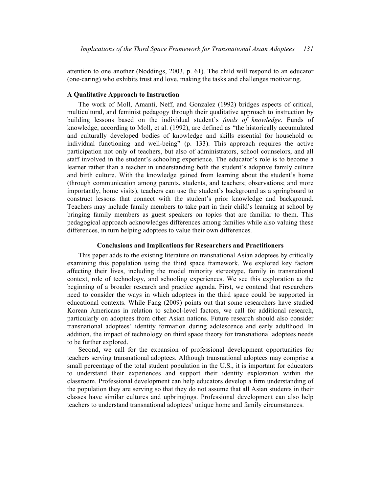attention to one another (Noddings, 2003, p. 61). The child will respond to an educator (one-caring) who exhibits trust and love, making the tasks and challenges motivating.

# **A Qualitative Approach to Instruction**

The work of Moll, Amanti, Neff, and Gonzalez (1992) bridges aspects of critical, multicultural, and feminist pedagogy through their qualitative approach to instruction by building lessons based on the individual student's *funds of knowledge*. Funds of knowledge, according to Moll, et al. (1992), are defined as "the historically accumulated and culturally developed bodies of knowledge and skills essential for household or individual functioning and well-being" (p. 133). This approach requires the active participation not only of teachers, but also of administrators, school counselors, and all staff involved in the student's schooling experience. The educator's role is to become a learner rather than a teacher in understanding both the student's adoptive family culture and birth culture. With the knowledge gained from learning about the student's home (through communication among parents, students, and teachers; observations; and more importantly, home visits), teachers can use the student's background as a springboard to construct lessons that connect with the student's prior knowledge and background. Teachers may include family members to take part in their child's learning at school by bringing family members as guest speakers on topics that are familiar to them. This pedagogical approach acknowledges differences among families while also valuing these differences, in turn helping adoptees to value their own differences.

#### **Conclusions and Implications for Researchers and Practitioners**

This paper adds to the existing literature on transnational Asian adoptees by critically examining this population using the third space framework. We explored key factors affecting their lives, including the model minority stereotype, family in transnational context, role of technology, and schooling experiences. We see this exploration as the beginning of a broader research and practice agenda. First, we contend that researchers need to consider the ways in which adoptees in the third space could be supported in educational contexts. While Fang (2009) points out that some researchers have studied Korean Americans in relation to school-level factors, we call for additional research, particularly on adoptees from other Asian nations. Future research should also consider transnational adoptees' identity formation during adolescence and early adulthood. In addition, the impact of technology on third space theory for transnational adoptees needs to be further explored.

Second, we call for the expansion of professional development opportunities for teachers serving transnational adoptees. Although transnational adoptees may comprise a small percentage of the total student population in the U.S., it is important for educators to understand their experiences and support their identity exploration within the classroom. Professional development can help educators develop a firm understanding of the population they are serving so that they do not assume that all Asian students in their classes have similar cultures and upbringings. Professional development can also help teachers to understand transnational adoptees' unique home and family circumstances.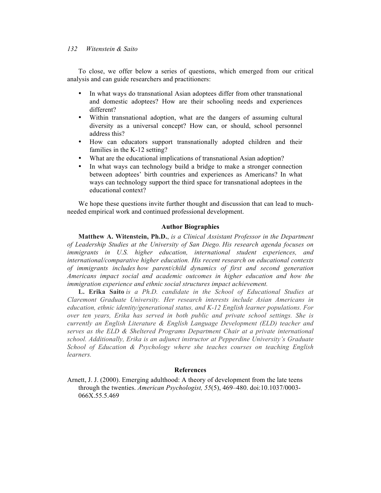To close, we offer below a series of questions, which emerged from our critical analysis and can guide researchers and practitioners:

- In what ways do transnational Asian adoptees differ from other transnational and domestic adoptees? How are their schooling needs and experiences different?
- Within transnational adoption, what are the dangers of assuming cultural diversity as a universal concept? How can, or should, school personnel address this?
- How can educators support transnationally adopted children and their families in the K-12 setting?
- What are the educational implications of transnational Asian adoption?
- In what ways can technology build a bridge to make a stronger connection between adoptees' birth countries and experiences as Americans? In what ways can technology support the third space for transnational adoptees in the educational context?

We hope these questions invite further thought and discussion that can lead to muchneeded empirical work and continued professional development.

# **Author Biographies**

**Matthew A. Witenstein, Ph.D.**, *is a Clinical Assistant Professor in the Department of Leadership Studies at the University of San Diego. His research agenda focuses on immigrants in U.S. higher education, international student experiences, and international/comparative higher education. His recent research on educational contexts of immigrants includes how parent/child dynamics of first and second generation Americans impact social and academic outcomes in higher education and how the immigration experience and ethnic social structures impact achievement.*

**L. Erika Saito** *is a Ph.D. candidate in the School of Educational Studies at Claremont Graduate University. Her research interests include Asian Americans in education, ethnic identity/generational status, and K-12 English learner populations. For over ten years, Erika has served in both public and private school settings. She is currently an English Literature & English Language Development (ELD) teacher and serves as the ELD & Sheltered Programs Department Chair at a private international school. Additionally, Erika is an adjunct instructor at Pepperdine University's Graduate School of Education & Psychology where she teaches courses on teaching English learners.*

# **References**

Arnett, J. J. (2000). Emerging adulthood: A theory of development from the late teens through the twenties. *American Psychologist, 55*(5), 469–480. doi:10.1037/0003- 066X.55.5.469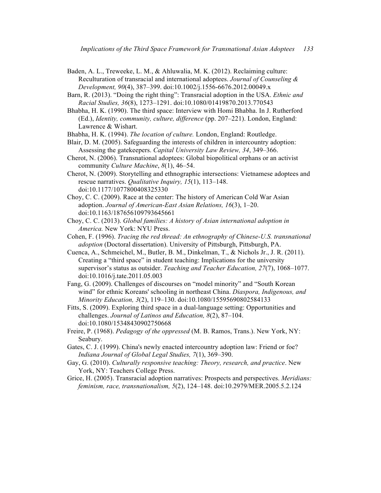- Baden, A. L., Treweeke, L. M., & Ahluwalia, M. K. (2012). Reclaiming culture: Reculturation of transracial and international adoptees. *Journal of Counseling & Development, 90*(4), 387–399. doi:10.1002/j.1556-6676.2012.00049.x
- Barn, R. (2013). "Doing the right thing": Transracial adoption in the USA. *Ethnic and Racial Studies, 36*(8), 1273–1291. doi:10.1080/01419870.2013.770543
- Bhabha, H. K. (1990). The third space: Interview with Homi Bhabha. In J. Rutherford (Ed.), *Identity, community, culture, difference* (pp. 207–221). London, England: Lawrence & Wishart.

Bhabha, H. K. (1994). *The location of culture.* London, England: Routledge.

- Blair, D. M. (2005). Safeguarding the interests of children in intercountry adoption: Assessing the gatekeepers. *Capital University Law Review, 34*, 349–366.
- Cherot, N. (2006). Transnational adoptees: Global biopolitical orphans or an activist community *Culture Machine*, *8*(1), 46–54.
- Cherot, N. (2009). Storytelling and ethnographic intersections: Vietnamese adoptees and rescue narratives. *Qualitative Inquiry, 15*(1), 113–148. doi:10.1177/1077800408325330
- Choy, C. C. (2009). Race at the center: The history of American Cold War Asian adoption. *Journal of American-East Asian Relations, 16*(3), 1–20. doi:10.1163/187656109793645661
- Choy, C. C. (2013). *Global families: A history of Asian international adoption in America.* New York: NYU Press.
- Cohen, F. (1996). *Tracing the red thread: An ethnography of Chinese-U.S. transnational adoption* (Doctoral dissertation). University of Pittsburgh, Pittsburgh, PA.
- Cuenca, A., Schmeichel, M., Butler, B. M., Dinkelman, T., & Nichols Jr., J. R. (2011). Creating a "third space" in student teaching: Implications for the university supervisor's status as outsider. *Teaching and Teacher Education, 27*(7), 1068–1077. doi:10.1016/j.tate.2011.05.003
- Fang, G. (2009). Challenges of discourses on "model minority" and "South Korean wind" for ethnic Koreans' schooling in northeast China. *Diaspora, Indigenous, and Minority Education, 3*(2), 119–130. doi:10.1080/15595690802584133
- Fitts, S. (2009). Exploring third space in a dual-language setting: Opportunities and challenges. *Journal of Latinos and Education, 8*(2), 87–104. doi:10.1080/15348430902750668
- Freire, P. (1968). *Pedagogy of the oppressed* (M. B. Ramos, Trans.). New York, NY: Seabury.
- Gates, C. J. (1999). China's newly enacted intercountry adoption law: Friend or foe? *Indiana Journal of Global Legal Studies, 7*(1), 369–390.
- Gay, G. (2010). *Culturally responsive teaching: Theory, research, and practice*. New York, NY: Teachers College Press.
- Grice, H. (2005). Transracial adoption narratives: Prospects and perspectives. *Meridians: feminism, race, transnationalism, 5*(2), 124–148. doi:10.2979/MER.2005.5.2.124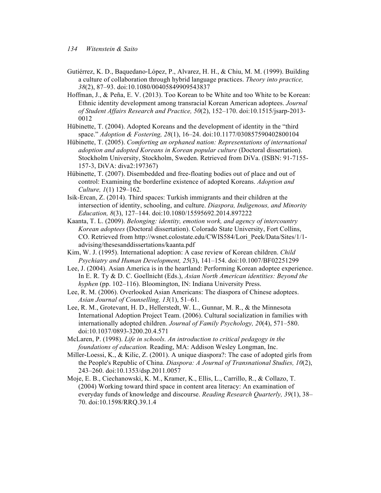- *134 Witenstein & Saito*
- Gutiérrez, K. D., Baquedano-López, P., Alvarez, H. H., & Chiu, M. M. (1999). Building a culture of collaboration through hybrid language practices. *Theory into practice, 38*(2), 87–93. doi:10.1080/00405849909543837
- Hoffman, J., & Peña, E. V. (2013). Too Korean to be White and too White to be Korean: Ethnic identity development among transracial Korean American adoptees. *Journal of Student Affairs Research and Practice, 50*(2), 152–170. doi:10.1515/jsarp-2013- 0012
- Hübinette, T. (2004). Adopted Koreans and the development of identity in the "third space." *Adoption & Fostering, 28*(1), 16–24. doi:10.1177/030857590402800104
- Hübinette, T. (2005). *Comforting an orphaned nation: Representations of international adoption and adopted Koreans in Korean popular culture* (Doctoral dissertation). Stockholm University, Stockholm, Sweden. Retrieved from DiVa. (ISBN: 91-7155- 157-3, DiVA: diva2:197367)
- Hübinette, T. (2007). Disembedded and free-floating bodies out of place and out of control: Examining the borderline existence of adopted Koreans. *Adoption and Culture, 1*(1) 129–162.
- Isik-Ercan, Z. (2014). Third spaces: Turkish immigrants and their children at the intersection of identity, schooling, and culture. *Diaspora, Indigenous, and Minority Education, 8*(3), 127–144. doi:10.1080/15595692.2014.897222
- Kaanta, T. L. (2009). *Belonging: identity, emotion work, and agency of intercountry Korean adoptees* (Doctoral dissertation). Colorado State University, Fort Collins, CO. Retrieved from http://wsnet.colostate.edu/CWIS584/Lori\_Peek/Data/Sites/1/1 advising/thesesanddissertations/kaanta.pdf
- Kim, W. J. (1995). International adoption: A case review of Korean children. *Child Psychiatry and Human Development, 25*(3), 141–154. doi:10.1007/BF02251299
- Lee, J. (2004). Asian America is in the heartland: Performing Korean adoptee experience. In E. R. Ty & D. C. Goellnicht (Eds.), *Asian North American identities: Beyond the hyphen* (pp. 102–116). Bloomington, IN: Indiana University Press.
- Lee, R. M. (2006). Overlooked Asian Americans: The diaspora of Chinese adoptees. *Asian Journal of Counselling, 13*(1), 51–61.
- Lee, R. M., Grotevant, H. D., Hellerstedt, W. L., Gunnar, M. R., & the Minnesota International Adoption Project Team. (2006). Cultural socialization in families with internationally adopted children. *Journal of Family Psychology, 20*(4), 571–580. doi:10.1037/0893-3200.20.4.571
- McLaren, P. (1998). *Life in schools. An introduction to critical pedagogy in the foundations of education.* Reading, MA: Addison Wesley Longman, Inc.
- Miller-Loessi, K., & Kilic, Z. (2001). A unique diaspora?: The case of adopted girls from the People's Republic of China. *Diaspora: A Journal of Transnational Studies, 10*(2), 243–260. doi:10.1353/dsp.2011.0057
- Moje, E. B., Ciechanowski, K. M., Kramer, K., Ellis, L., Carrillo, R., & Collazo, T. (2004) Working toward third space in content area literacy: An examination of everyday funds of knowledge and discourse. *Reading Research Quarterly, 39*(1), 38– 70. doi:10.1598/RRQ.39.1.4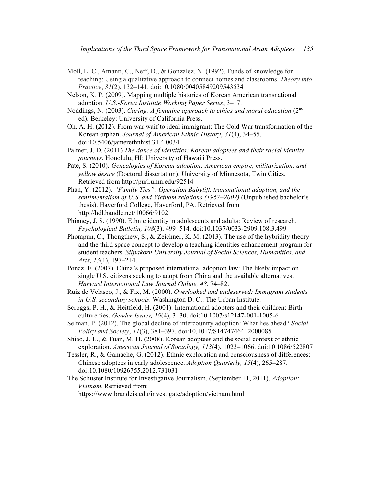- Moll, L. C., Amanti, C., Neff, D., & Gonzalez, N. (1992). Funds of knowledge for teaching: Using a qualitative approach to connect homes and classrooms. *Theory into Practice*, *31*(2), 132–141. doi:10.1080/00405849209543534
- Nelson, K. P. (2009). Mapping multiple histories of Korean American transnational adoption. *U.S.-Korea Institute Working Paper Series*, 3–17.
- Noddings, N. (2003). *Caring: A feminine approach to ethics and moral education* (2<sup>nd</sup> ed). Berkeley: University of California Press.
- Oh, A. H. (2012). From war waif to ideal immigrant: The Cold War transformation of the Korean orphan. *Journal of American Ethnic History*, *31*(4), 34–55. doi:10.5406/jamerethnhist.31.4.0034
- Palmer, J. D. (2011) *The dance of identities: Korean adoptees and their racial identity journeys*. Honolulu, HI: University of Hawai'i Press.
- Pate, S. (2010). *Genealogies of Korean adoption: American empire, militarization, and yellow desire* (Doctoral dissertation). University of Minnesota, Twin Cities. Retrieved from http://purl.umn.edu/92514
- Phan, Y. (2012). *"Family Ties": Operation Babylift, transnational adoption, and the sentimentalism of U.S. and Vietnam relations (1967*–*2002)* (Unpublished bachelor's thesis). Haverford College, Haverford, PA. Retrieved from http://hdl.handle.net/10066/9102
- Phinney, J. S. (1990). Ethnic identity in adolescents and adults: Review of research. *Psychological Bulletin, 108*(3), 499–514. doi:10.1037/0033-2909.108.3.499
- Phompun, C., Thongthew, S., & Zeichner, K. M. (2013). The use of the hybridity theory and the third space concept to develop a teaching identities enhancement program for student teachers. *Silpakorn University Journal of Social Sciences, Humanities, and Arts, 13*(1), 197–214.
- Poncz, E. (2007). China's proposed international adoption law: The likely impact on single U.S. citizens seeking to adopt from China and the available alternatives. *Harvard International Law Journal Online, 48*, 74–82.
- Ruiz de Velasco, J., & Fix, M. (2000). *Overlooked and undeserved: Immigrant students in U.S. secondary schools*. Washington D. C.: The Urban Institute.
- Scroggs, P. H., & Heitfield, H. (2001). International adopters and their children: Birth culture ties. *Gender Issues, 19*(4), 3–30. doi:10.1007/s12147-001-1005-6
- Selman, P. (2012). The global decline of intercountry adoption: What lies ahead? *Social Policy and Society*, *11*(3), 381–397. doi:10.1017/S1474746412000085
- Shiao, J. L., & Tuan, M. H. (2008). Korean adoptees and the social context of ethnic exploration. *American Journal of Sociology, 113*(4), 1023–1066. doi:10.1086/522807
- Tessler, R., & Gamache, G. (2012). Ethnic exploration and consciousness of differences: Chinese adoptees in early adolescence. *Adoption Quarterly, 15*(4), 265–287. doi:10.1080/10926755.2012.731031
- The Schuster Institute for Investigative Journalism. (September 11, 2011). *Adoption: Vietnam*. Retrieved from:

https://www.brandeis.edu/investigate/adoption/vietnam.html